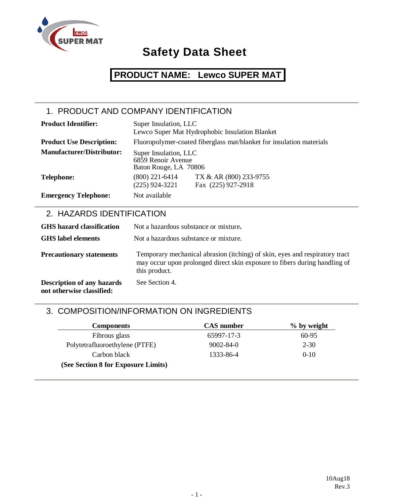

## **PRODUCT NAME: Lewco SUPER MAT**

### 1. PRODUCT AND COMPANY IDENTIFICATION

| <b>Product Identifier:</b>       | Super Insulation, LLC                                                | Lewco Super Mat Hydrophobic Insulation Blanket                       |
|----------------------------------|----------------------------------------------------------------------|----------------------------------------------------------------------|
| <b>Product Use Description:</b>  |                                                                      | Fluoropolymer-coated fiberglass mat/blanket for insulation materials |
| <b>Manufacturer/Distributor:</b> | Super Insulation, LLC<br>6859 Renoir Avenue<br>Baton Rouge, LA 70806 |                                                                      |
| <b>Telephone:</b>                | $(800)$ 221-6414<br>$(225)$ 924-3221                                 | TX & AR (800) 233-9755<br>Fax (225) 927-2918                         |
| <b>Emergency Telephone:</b>      | Not available                                                        |                                                                      |

### 2. HAZARDS IDENTIFICATION

| <b>GHS</b> hazard classification                               | Not a hazardous substance or mixture.                                                                                                                                      |
|----------------------------------------------------------------|----------------------------------------------------------------------------------------------------------------------------------------------------------------------------|
| <b>GHS</b> label elements                                      | Not a hazardous substance or mixture.                                                                                                                                      |
| <b>Precautionary statements</b>                                | Temporary mechanical abrasion (itching) of skin, eyes and respiratory tract<br>may occur upon prolonged direct skin exposure to fibers during handling of<br>this product. |
| <b>Description of any hazards</b><br>not otherwise classified: | See Section 4.                                                                                                                                                             |

### 3. COMPOSITION/INFORMATION ON INGREDIENTS

| <b>Components</b>                   | <b>CAS</b> number | $\%$ by weight |
|-------------------------------------|-------------------|----------------|
| Fibrous glass                       | 65997-17-3        | $60-95$        |
| Polytetrafluoroethylene (PTFE)      | $9002 - 84 - 0$   | $2 - 30$       |
| Carbon black                        | 1333-86-4         | $0-10$         |
| (See Section 8 for Exposure Limits) |                   |                |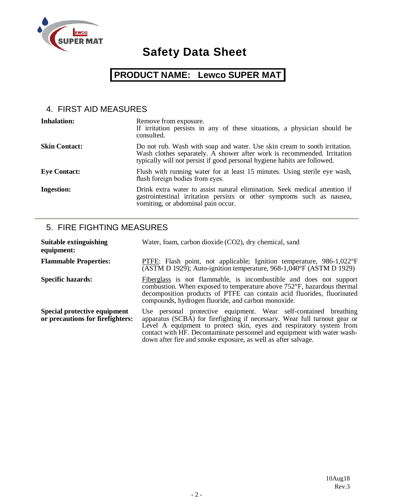

## **PRODUCT NAME: Lewco SUPER MAT**

### 4. FIRST AID MEASURES

| <b>Inhalation:</b>   | Remove from exposure.<br>If irritation persists in any of these situations, a physician should be<br>consulted.                                                                                                                  |
|----------------------|----------------------------------------------------------------------------------------------------------------------------------------------------------------------------------------------------------------------------------|
| <b>Skin Contact:</b> | Do not rub. Wash with soap and water. Use skin cream to sooth irritation.<br>Wash clothes separately. A shower after work is recommended. Irritation<br>typically will not persist if good personal hygiene habits are followed. |
| <b>Eye Contact:</b>  | Flush with running water for at least 15 minutes. Using sterile eye wash,<br>flush foreign bodies from eyes.                                                                                                                     |
| <b>Ingestion:</b>    | Drink extra water to assist natural elimination. Seek medical attention if<br>gastrointestinal irritation persists or other symptoms such as nausea,<br>vomiting, or abdominal pain occur.                                       |

#### 5. FIRE FIGHTING MEASURES

| <b>Suitable extinguishing</b><br>equipment:                      | Water, foam, carbon dioxide (CO2), dry chemical, sand                                                                                                                                                                                                                                                                                                            |
|------------------------------------------------------------------|------------------------------------------------------------------------------------------------------------------------------------------------------------------------------------------------------------------------------------------------------------------------------------------------------------------------------------------------------------------|
| <b>Flammable Properties:</b>                                     | PTFE: Flash point, not applicable; Ignition temperature, $986-1,022^{\circ}F$<br>(ASTM D 1929); Auto-ignition temperature, $968-1,040^{\circ}$ F (ASTM D 1929)                                                                                                                                                                                                   |
| <b>Specific hazards:</b>                                         | Fiberglass is not flammable, is incombustible and does not support<br>combustion. When exposed to temperature above 752°F, hazardous thermal<br>decomposition products of PTFE can contain acid fluorides, fluorinated<br>compounds, hydrogen fluoride, and carbon monoxide.                                                                                     |
| Special protective equipment<br>or precautions for firefighters: | Use personal protective equipment. Wear self-contained breathing<br>apparatus (SCBA) for firefighting if necessary. Wear full turnout gear or<br>Level A equipment to protect skin, eyes and respiratory system from<br>contact with HF. Decontaminate personnel and equipment with water wash-<br>down after fire and smoke exposure, as well as after salvage. |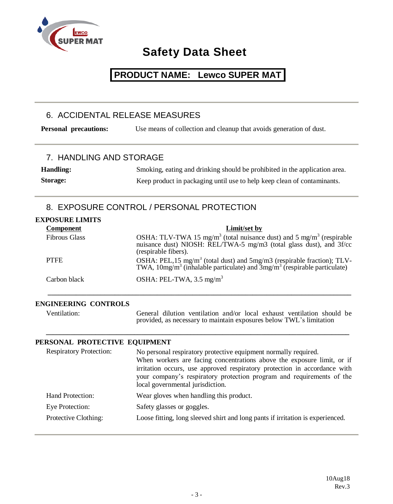

### **PRODUCT NAME: Lewco SUPER MAT**

#### 6. ACCIDENTAL RELEASE MEASURES

**Personal precautions:** Use means of collection and cleanup that avoids generation of dust.

#### 7. HANDLING AND STORAGE

**Handling:** Smoking, eating and drinking should be prohibited in the application area. **Storage:** Keep product in packaging until use to help keep clean of contaminants.

### 8. EXPOSURE CONTROL / PERSONAL PROTECTION

| <b>EXPOSURE LIMITS</b> |                                                                                                                                                                                             |
|------------------------|---------------------------------------------------------------------------------------------------------------------------------------------------------------------------------------------|
| <b>Component</b>       | Limit/set by                                                                                                                                                                                |
| <b>Fibrous Glass</b>   | OSHA: TLV-TWA 15 mg/m <sup>3</sup> (total nuisance dust) and 5 mg/m <sup>3</sup> (respirable<br>nuisance dust) NIOSH: REL/TWA-5 mg/m3 (total glass dust), and 3f/cc<br>(respirable fibers). |
| <b>PTFE</b>            | OSHA: PEL, 15 mg/m <sup>3</sup> (total dust) and 5mg/m3 (respirable fraction); TLV-TWA, $10mg/m^3$ (inhalable particulate) and $3mg/m^3$ (respirable particulate)                           |
| Carbon black           | OSHA: PEL-TWA, $3.5 \text{ mg/m}^3$                                                                                                                                                         |

 **\_\_\_\_\_\_\_\_\_\_\_\_\_\_\_\_\_\_\_\_\_\_\_\_\_\_\_\_\_\_\_\_\_\_\_\_\_\_\_\_\_\_\_\_\_\_\_\_\_\_\_\_\_\_\_\_\_\_\_\_\_\_\_\_\_\_\_\_\_\_\_\_\_\_\_\_\_\_\_\_\_\_\_\_\_\_**

 **\_\_\_\_\_\_\_\_\_\_\_\_\_\_\_\_\_\_\_\_\_\_\_\_\_\_\_\_\_\_\_\_\_\_\_\_\_\_\_\_\_\_\_\_\_\_\_\_\_\_\_\_\_\_\_\_\_\_\_\_\_\_\_\_\_\_\_\_\_\_\_\_\_\_\_\_\_\_\_\_\_\_\_\_\_\_**

#### **ENGINEERING CONTROLS**

Ventilation: General dilution ventilation and/or local exhaust ventilation should be provided, as necessary to maintain exposures below TWL's limitation

#### **PERSONAL PROTECTIVE EQUIPMENT**

| <b>Respiratory Protection:</b> | No personal respiratory protective equipment normally required.<br>When workers are facing concentrations above the exposure limit, or if<br>irritation occurs, use approved respiratory protection in accordance with<br>your company's respiratory protection program and requirements of the<br>local governmental jurisdiction. |
|--------------------------------|-------------------------------------------------------------------------------------------------------------------------------------------------------------------------------------------------------------------------------------------------------------------------------------------------------------------------------------|
| Hand Protection:               | Wear gloves when handling this product.                                                                                                                                                                                                                                                                                             |
| Eye Protection:                | Safety glasses or goggles.                                                                                                                                                                                                                                                                                                          |
| Protective Clothing:           | Loose fitting, long sleeved shirt and long pants if irritation is experienced.                                                                                                                                                                                                                                                      |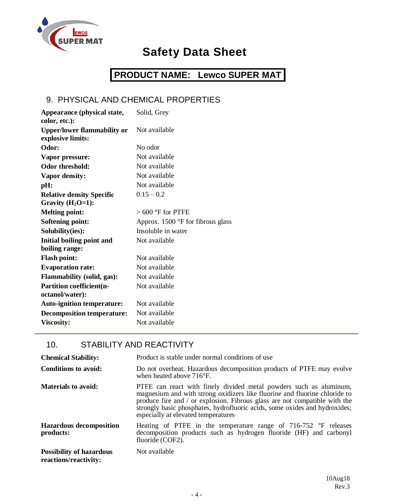

## **PRODUCT NAME: Lewco SUPER MAT**

### 9. PHYSICAL AND CHEMICAL PROPERTIES

| Solid, Grey                         |
|-------------------------------------|
|                                     |
| Not available                       |
|                                     |
| No odor                             |
| Not available                       |
| Not available                       |
| Not available                       |
| Not available                       |
| $0.15 - 0.2$                        |
|                                     |
| $>600$ °F for PTFE                  |
| Approx. $1500$ °F for fibrous glass |
| Insoluble in water                  |
| Not available                       |
|                                     |
| Not available                       |
| Not available                       |
| Not available                       |
| Not available                       |
|                                     |
| Not available                       |
| Not available                       |
| Not available                       |
|                                     |

### 10. STABILITY AND REACTIVITY

| <b>Chemical Stability:</b>                               | Product is stable under normal conditions of use                                                                                                                                                                                                                                                                                                    |
|----------------------------------------------------------|-----------------------------------------------------------------------------------------------------------------------------------------------------------------------------------------------------------------------------------------------------------------------------------------------------------------------------------------------------|
| Conditions to avoid:                                     | Do not overheat. Hazardous decomposition products of PTFE may evolve<br>when heated above $716^{\circ}F$ .                                                                                                                                                                                                                                          |
| <b>Materials to avoid:</b>                               | PTFE can react with finely divided metal powders such as aluminum,<br>magnesium and with strong oxidizers like fluorine and fluorine chloride to<br>produce fire and / or explosion. Fibrous glass are not compatible with the<br>strongly basic phosphates, hydrofluoric acids, some oxides and hydroxides;<br>especially at elevated temperatures |
| <b>Hazardous decomposition</b><br>products:              | Heating of PTFE in the temperature range of $716-752$ °F releases<br>decomposition products such as hydrogen fluoride (HF) and carbonyl<br>fluoride (COF2).                                                                                                                                                                                         |
| <b>Possibility of hazardous</b><br>reactions/reactivity: | Not available                                                                                                                                                                                                                                                                                                                                       |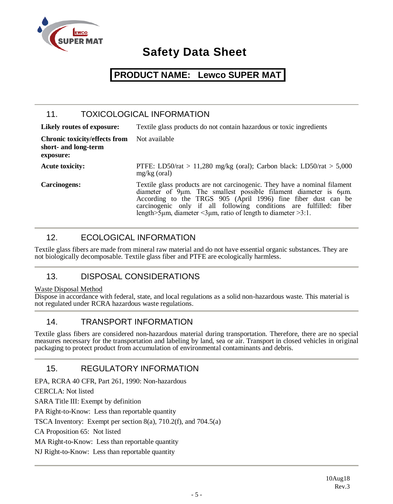

### **PRODUCT NAME: Lewco SUPER MAT**

### 11. TOXICOLOGICAL INFORMATION

| Likely routes of exposure:                                                | Textile glass products do not contain hazardous or toxic ingredients                                                                                                                                                                                                                                                                                               |
|---------------------------------------------------------------------------|--------------------------------------------------------------------------------------------------------------------------------------------------------------------------------------------------------------------------------------------------------------------------------------------------------------------------------------------------------------------|
| <b>Chronic toxicity/effects from</b><br>short- and long-term<br>exposure: | Not available                                                                                                                                                                                                                                                                                                                                                      |
| <b>Acute toxicity:</b>                                                    | PTFE: LD50/rat > 11,280 mg/kg (oral); Carbon black: LD50/rat > 5,000<br>$mg/kg$ (oral)                                                                                                                                                                                                                                                                             |
| Carcinogens:                                                              | Textile glass products are not carcinogenic. They have a nominal filament<br>diameter of 9um. The smallest possible filament diameter is 6um.<br>According to the TRGS 905 (April 1996) fine fiber dust can be<br>carcinogenic only if all following conditions are fulfilled: fiber<br>length $>5\mu$ m, diameter $<3\mu$ m, ratio of length to diameter $>3.1$ . |

### 12. ECOLOGICAL INFORMATION

Textile glass fibers are made from mineral raw material and do not have essential organic substances. They are not biologically decomposable. Textile glass fiber and PTFE are ecologically harmless.

### 13. DISPOSAL CONSIDERATIONS

#### Waste Disposal Method

Dispose in accordance with federal, state, and local regulations as a solid non-hazardous waste. This material is not regulated under RCRA hazardous waste regulations.

#### 14. TRANSPORT INFORMATION

Textile glass fibers are considered non-hazardous material during transportation. Therefore, there are no special measures necessary for the transportation and labeling by land, sea or air. Transport in closed vehicles in original packaging to protect product from accumulation of environmental contaminants and debris.

### 15. REGULATORY INFORMATION

EPA, RCRA 40 CFR, Part 261, 1990: Non-hazardous

CERCLA: Not listed

SARA Title III: Exempt by definition

PA Right-to-Know: Less than reportable quantity

TSCA Inventory: Exempt per section 8(a), 710.2(f), and 704.5(a)

CA Proposition 65: Not listed

MA Right-to-Know: Less than reportable quantity

NJ Right-to-Know: Less than reportable quantity